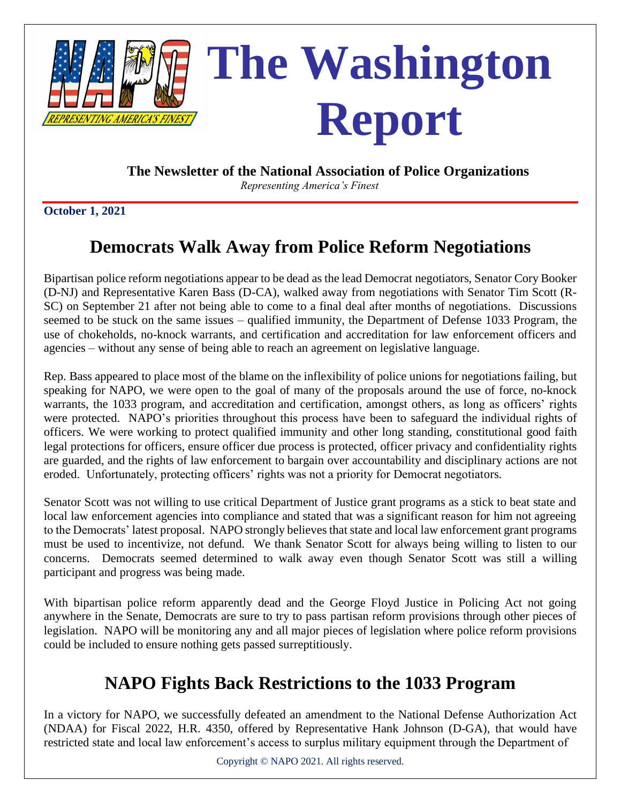

**The Newsletter of the National Association of Police Organizations**

 *Representing America's Finest*

**October 1, 2021**

# **Democrats Walk Away from Police Reform Negotiations**

Bipartisan police reform negotiations appear to be dead as the lead Democrat negotiators, Senator Cory Booker (D-NJ) and Representative Karen Bass (D-CA), walked away from negotiations with Senator Tim Scott (R-SC) on September 21 after not being able to come to a final deal after months of negotiations. Discussions seemed to be stuck on the same issues – qualified immunity, the Department of Defense 1033 Program, the use of chokeholds, no-knock warrants, and certification and accreditation for law enforcement officers and agencies – without any sense of being able to reach an agreement on legislative language.

Rep. Bass appeared to place most of the blame on the inflexibility of police unions for negotiations failing, but speaking for NAPO, we were open to the goal of many of the proposals around the use of force, no-knock warrants, the 1033 program, and accreditation and certification, amongst others, as long as officers' rights were protected. NAPO's priorities throughout this process have been to safeguard the individual rights of officers. We were working to protect qualified immunity and other long standing, constitutional good faith legal protections for officers, ensure officer due process is protected, officer privacy and confidentiality rights are guarded, and the rights of law enforcement to bargain over accountability and disciplinary actions are not eroded. Unfortunately, protecting officers' rights was not a priority for Democrat negotiators.

Senator Scott was not willing to use critical Department of Justice grant programs as a stick to beat state and local law enforcement agencies into compliance and stated that was a significant reason for him not agreeing to the Democrats' latest proposal. NAPO strongly believes that state and local law enforcement grant programs must be used to incentivize, not defund. We thank Senator Scott for always being willing to listen to our concerns. Democrats seemed determined to walk away even though Senator Scott was still a willing participant and progress was being made.

With bipartisan police reform apparently dead and the George Floyd Justice in Policing Act not going anywhere in the Senate, Democrats are sure to try to pass partisan reform provisions through other pieces of legislation. NAPO will be monitoring any and all major pieces of legislation where police reform provisions could be included to ensure nothing gets passed surreptitiously.

# **NAPO Fights Back Restrictions to the 1033 Program**

In a victory for NAPO, we successfully defeated an amendment to the National Defense Authorization Act (NDAA) for Fiscal 2022, H.R. 4350, offered by Representative Hank Johnson (D-GA), that would have restricted state and local law enforcement's access to surplus military equipment through the Department of

Copyright © NAPO 2021. All rights reserved.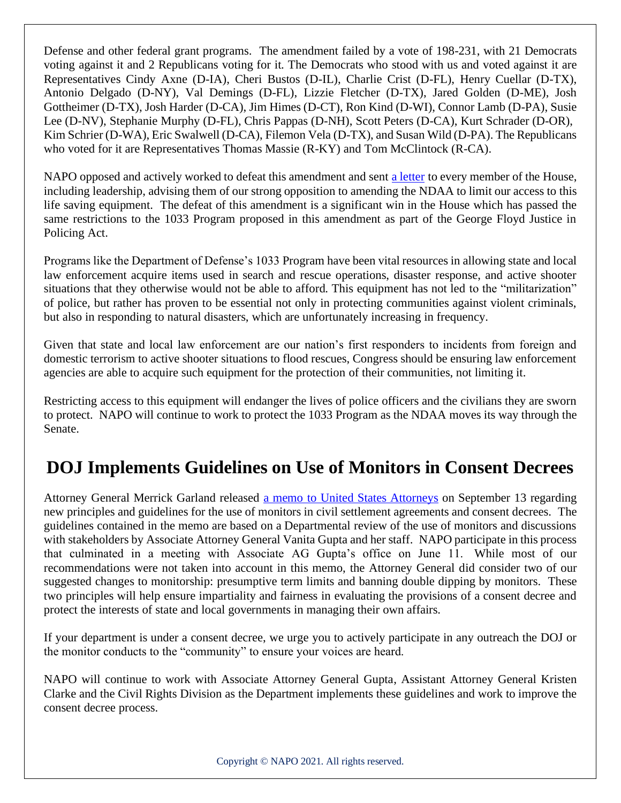Defense and other federal grant programs. The amendment failed by a vote of 198-231, with 21 Democrats voting against it and 2 Republicans voting for it. The Democrats who stood with us and voted against it are Representatives Cindy Axne (D-IA), Cheri Bustos (D-IL), Charlie Crist (D-FL), Henry Cuellar (D-TX), Antonio Delgado (D-NY), Val Demings (D-FL), Lizzie Fletcher (D-TX), Jared Golden (D-ME), Josh Gottheimer (D-TX), Josh Harder (D-CA), Jim Himes (D-CT), Ron Kind (D-WI), Connor Lamb (D-PA), Susie Lee (D-NV), Stephanie Murphy (D-FL), Chris Pappas (D-NH), Scott Peters (D-CA), Kurt Schrader (D-OR), Kim Schrier (D-WA), Eric Swalwell (D-CA), Filemon Vela (D-TX), and Susan Wild (D-PA). The Republicans who voted for it are Representatives Thomas Massie (R-KY) and Tom McClintock (R-CA).

NAPO opposed and actively worked to defeat this amendment and sent [a letter](file://///napo-2k12/Share/AEdmiston/Washington%20Report/Sept%202021/NAPO%20Ltr_Oppose%20H.%20Johnson%201033%20Amdt%20NDAA.pdf) to every member of the House, including leadership, advising them of our strong opposition to amending the NDAA to limit our access to this life saving equipment. The defeat of this amendment is a significant win in the House which has passed the same restrictions to the 1033 Program proposed in this amendment as part of the George Floyd Justice in Policing Act.

Programs like the Department of Defense's 1033 Program have been vital resources in allowing state and local law enforcement acquire items used in search and rescue operations, disaster response, and active shooter situations that they otherwise would not be able to afford. This equipment has not led to the "militarization" of police, but rather has proven to be essential not only in protecting communities against violent criminals, but also in responding to natural disasters, which are unfortunately increasing in frequency.

Given that state and local law enforcement are our nation's first responders to incidents from foreign and domestic terrorism to active shooter situations to flood rescues, Congress should be ensuring law enforcement agencies are able to acquire such equipment for the protection of their communities, not limiting it.

Restricting access to this equipment will endanger the lives of police officers and the civilians they are sworn to protect. NAPO will continue to work to protect the 1033 Program as the NDAA moves its way through the Senate.

# **DOJ Implements Guidelines on Use of Monitors in Consent Decrees**

Attorney General Merrick Garland released [a memo to United States Attorneys](https://www.justice.gov/ag/page/file/1432236/download) on September 13 regarding new principles and guidelines for the use of monitors in civil settlement agreements and consent decrees. The guidelines contained in the memo are based on a Departmental review of the use of monitors and discussions with stakeholders by Associate Attorney General Vanita Gupta and her staff. NAPO participate in this process that culminated in a meeting with Associate AG Gupta's office on June 11. While most of our recommendations were not taken into account in this memo, the Attorney General did consider two of our suggested changes to monitorship: presumptive term limits and banning double dipping by monitors. These two principles will help ensure impartiality and fairness in evaluating the provisions of a consent decree and protect the interests of state and local governments in managing their own affairs.

If your department is under a consent decree, we urge you to actively participate in any outreach the DOJ or the monitor conducts to the "community" to ensure your voices are heard.

NAPO will continue to work with Associate Attorney General Gupta, Assistant Attorney General Kristen Clarke and the Civil Rights Division as the Department implements these guidelines and work to improve the consent decree process.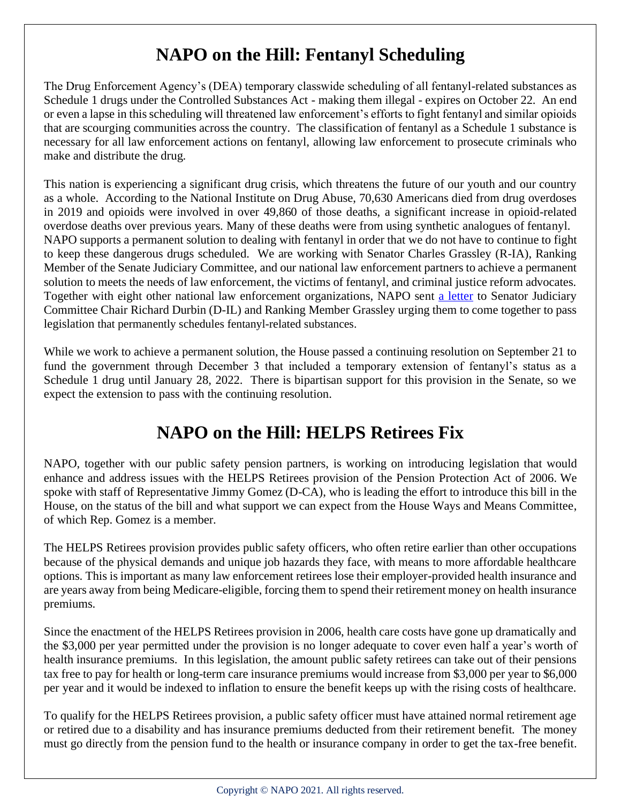# **NAPO on the Hill: Fentanyl Scheduling**

The Drug Enforcement Agency's (DEA) temporary classwide scheduling of all fentanyl-related substances as Schedule 1 drugs under the Controlled Substances Act - making them illegal - expires on October 22. An end or even a lapse in thisscheduling will threatened law enforcement's efforts to fight fentanyl and similar opioids that are scourging communities across the country. The classification of fentanyl as a Schedule 1 substance is necessary for all law enforcement actions on fentanyl, allowing law enforcement to prosecute criminals who make and distribute the drug.

This nation is experiencing a significant drug crisis, which threatens the future of our youth and our country as a whole. According to the National Institute on Drug Abuse, 70,630 Americans died from drug overdoses in 2019 and opioids were involved in over 49,860 of those deaths, a significant increase in opioid-related overdose deaths over previous years. Many of these deaths were from using synthetic analogues of fentanyl. NAPO supports a permanent solution to dealing with fentanyl in order that we do not have to continue to fight to keep these dangerous drugs scheduled. We are working with Senator Charles Grassley (R-IA), Ranking Member of the Senate Judiciary Committee, and our national law enforcement partners to achieve a permanent solution to meets the needs of law enforcement, the victims of fentanyl, and criminal justice reform advocates. Together with eight other national law enforcement organizations, NAPO sent [a letter](file://///napo-2k12/Share/AEdmiston/Washington%20Report/Sept%202021/Law%20Enforcement%20Coalition%20Letter%20to%20Senate%20Judiciary%20Committee%20on%20FRS.pdf) to Senator Judiciary Committee Chair Richard Durbin (D-IL) and Ranking Member Grassley urging them to come together to pass legislation that permanently schedules fentanyl-related substances.

While we work to achieve a permanent solution, the House passed a continuing resolution on September 21 to fund the government through December 3 that included a temporary extension of fentanyl's status as a Schedule 1 drug until January 28, 2022. There is bipartisan support for this provision in the Senate, so we expect the extension to pass with the continuing resolution.

### **NAPO on the Hill: HELPS Retirees Fix**

NAPO, together with our public safety pension partners, is working on introducing legislation that would enhance and address issues with the HELPS Retirees provision of the Pension Protection Act of 2006. We spoke with staff of Representative Jimmy Gomez (D-CA), who is leading the effort to introduce this bill in the House, on the status of the bill and what support we can expect from the House Ways and Means Committee, of which Rep. Gomez is a member.

The HELPS Retirees provision provides public safety officers, who often retire earlier than other occupations because of the physical demands and unique job hazards they face, with means to more affordable healthcare options. This is important as many law enforcement retirees lose their employer-provided health insurance and are years away from being Medicare-eligible, forcing them to spend their retirement money on health insurance premiums.

Since the enactment of the HELPS Retirees provision in 2006, health care costs have gone up dramatically and the \$3,000 per year permitted under the provision is no longer adequate to cover even half a year's worth of health insurance premiums. In this legislation, the amount public safety retirees can take out of their pensions tax free to pay for health or long-term care insurance premiums would increase from \$3,000 per year to \$6,000 per year and it would be indexed to inflation to ensure the benefit keeps up with the rising costs of healthcare.

To qualify for the HELPS Retirees provision, a public safety officer must have attained normal retirement age or retired due to a disability and has insurance premiums deducted from their retirement benefit. The money must go directly from the pension fund to the health or insurance company in order to get the tax-free benefit.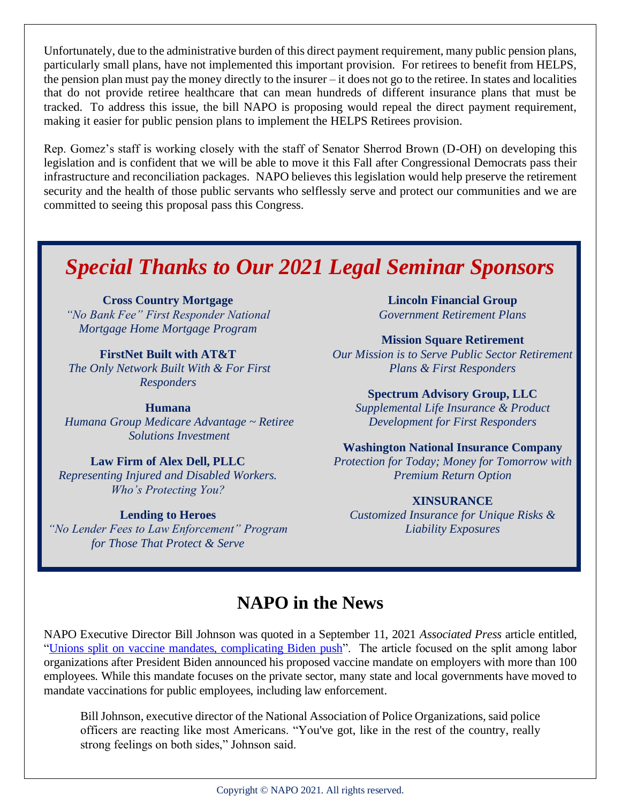Unfortunately, due to the administrative burden of this direct payment requirement, many public pension plans, particularly small plans, have not implemented this important provision. For retirees to benefit from HELPS, the pension plan must pay the money directly to the insurer – it does not go to the retiree. In states and localities that do not provide retiree healthcare that can mean hundreds of different insurance plans that must be tracked. To address this issue, the bill NAPO is proposing would repeal the direct payment requirement, making it easier for public pension plans to implement the HELPS Retirees provision.

Rep. Gomez's staff is working closely with the staff of Senator Sherrod Brown (D-OH) on developing this legislation and is confident that we will be able to move it this Fall after Congressional Democrats pass their infrastructure and reconciliation packages. NAPO believes this legislation would help preserve the retirement security and the health of those public servants who selflessly serve and protect our communities and we are committed to seeing this proposal pass this Congress.

# *Special Thanks to Our 2021 Legal Seminar Sponsors*

**Cross Country Mortgage** *"No Bank Fee" First Responder National Mortgage Home Mortgage Program*

**FirstNet Built with AT&T** *The Only Network Built With & For First Responders* 

**Humana** *Humana Group Medicare Advantage ~ Retiree Solutions Investment*

#### **Law Firm of Alex Dell, PLLC**

*Representing Injured and Disabled Workers. Who's Protecting You?* 

#### **Lending to Heroes**

*"No Lender Fees to Law Enforcement" Program for Those That Protect & Serve*

**Lincoln Financial Group** *Government Retirement Plans*

**Mission Square Retirement**

*Our Mission is to Serve Public Sector Retirement Plans & First Responders*

**Spectrum Advisory Group, LLC** 

*Supplemental Life Insurance & Product Development for First Responders*

**Washington National Insurance Company**

*Protection for Today; Money for Tomorrow with Premium Return Option*

#### **XINSURANCE**

*Customized Insurance for Unique Risks & Liability Exposures*

### **NAPO in the News**

NAPO Executive Director Bill Johnson was quoted in a September 11, 2021 *Associated Press* article entitled, ["Unions split on vaccine mandates, complicating Biden push"](https://abcnews.go.com/Politics/wireStory/unions-split-vaccine-mandates-complicating-biden-push-79954230). The article focused on the split among labor organizations after President Biden announced his proposed vaccine mandate on employers with more than 100 employees. While this mandate focuses on the private sector, many state and local governments have moved to mandate vaccinations for public employees, including law enforcement.

Bill Johnson, executive director of the National Association of Police Organizations, said police officers are reacting like most Americans. "You've got, like in the rest of the country, really strong feelings on both sides," Johnson said.